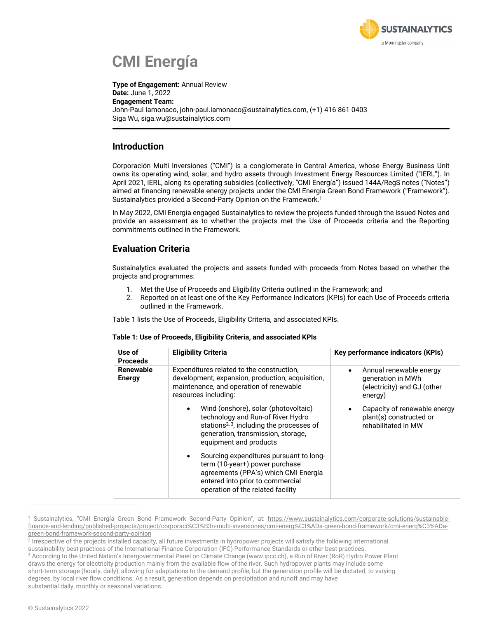

# **CMI Energía**

**Type of Engagement:** Annual Review **Date:** June 1, 2022 **Engagement Team:** John-Paul Iamonaco, john-paul.iamonaco@sustainalytics.com, (+1) 416 861 0403 Siga Wu, siga.wu@sustainalytics.com

### **Introduction**

Corporación Multi Inversiones ("CMI") is a conglomerate in Central America, whose Energy Business Unit owns its operating wind, solar, and hydro assets through Investment Energy Resources Limited ("IERL"). In April 2021, IERL, along its operating subsidies (collectively, "CMI Energía") issued 144A/RegS notes ("Notes") aimed at financing renewable energy projects under the CMI Energía Green Bond Framework ("Framework"). Sustainalytics provided a Second-Party Opinion on the Framework. 1

In May 2022, CMI Energía engaged Sustainalytics to review the projects funded through the issued Notes and provide an assessment as to whether the projects met the Use of Proceeds criteria and the Reporting commitments outlined in the Framework.

## **Evaluation Criteria**

Sustainalytics evaluated the projects and assets funded with proceeds from Notes based on whether the projects and programmes:

- 1. Met the Use of Proceeds and Eligibility Criteria outlined in the Framework; and
- 2. Reported on at least one of the Key Performance Indicators (KPIs) for each Use of Proceeds criteria outlined in the Framework.

Table 1 lists the Use of Proceeds, Eligibility Criteria, and associated KPIs.

| Use of<br><b>Proceeds</b>  | <b>Eligibility Criteria</b>                                                                                                                                                                        | Key performance indicators (KPIs)                                                                   |
|----------------------------|----------------------------------------------------------------------------------------------------------------------------------------------------------------------------------------------------|-----------------------------------------------------------------------------------------------------|
| Renewable<br><b>Energy</b> | Expenditures related to the construction,<br>development, expansion, production, acquisition,<br>maintenance, and operation of renewable<br>resources including:                                   | Annual renewable energy<br>$\bullet$<br>generation in MWh<br>(electricity) and GJ (other<br>energy) |
|                            | Wind (onshore), solar (photovoltaic)<br>technology and Run-of River Hydro<br>stations <sup>2, 3</sup> , including the processes of<br>generation, transmission, storage,<br>equipment and products | Capacity of renewable energy<br>plant(s) constructed or<br>rehabilitated in MW                      |
|                            | Sourcing expenditures pursuant to long-<br>term (10-year+) power purchase<br>agreements (PPA's) which CMI Energía<br>entered into prior to commercial<br>operation of the related facility         |                                                                                                     |

<sup>&</sup>lt;sup>1</sup> Sustainalytics, "CMI Energía Green Bond Framework Second-Party Opinion", at: https://www.sustainalytics.com/corporate-solutions/sustainablefinance-and-lending/published-projects/project/corporaci%C3%B3n-multi-inversiones/cmi-energ%C3%ADa-green-bond-framework/cmi-energ%C3%ADagreen-bond-framework-second-party-opinion

<sup>2</sup> Irrespective of the projects installed capacity, all future investments in hydropower projects will satisfy the following international sustainability best practices of the International Finance Corporation (IFC) Performance Standards or other best practices. <sup>3</sup> According to the United Nation's Intergovernmental Panel on Climate Change (www.ipcc.ch), a Run of River (RoR) Hydro Power Plant draws the energy for electricity production mainly from the available flow of the river. Such hydropower plants may include some short-term storage (hourly, daily), allowing for adaptations to the demand profile, but the generation profile will be dictated, to varying degrees, by local river flow conditions. As a result, generation depends on precipitation and runoff and may have substantial daily, monthly or seasonal variations.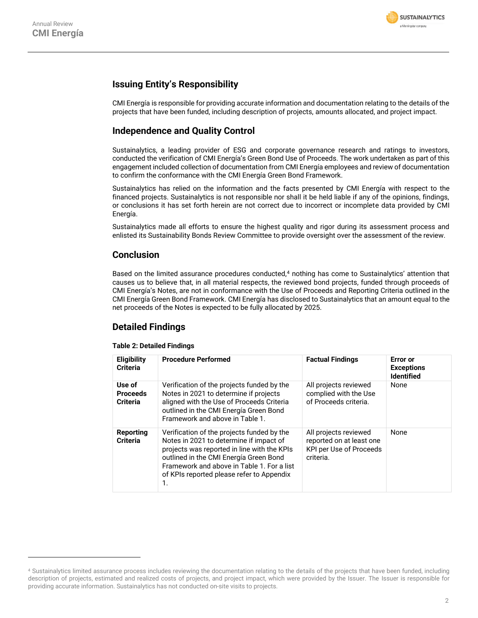

## **Issuing Entity's Responsibility**

CMI Energía is responsible for providing accurate information and documentation relating to the details of the projects that have been funded, including description of projects, amounts allocated, and project impact.

## **Independence and Quality Control**

Sustainalytics, a leading provider of ESG and corporate governance research and ratings to investors, conducted the verification of CMI Energía's Green Bond Use of Proceeds. The work undertaken as part of this engagement included collection of documentation from CMI Energía employees and review of documentation to confirm the conformance with the CMI Energía Green Bond Framework.

Sustainalytics has relied on the information and the facts presented by CMI Energía with respect to the financed projects. Sustainalytics is not responsible nor shall it be held liable if any of the opinions, findings, or conclusions it has set forth herein are not correct due to incorrect or incomplete data provided by CMI Energía.

Sustainalytics made all efforts to ensure the highest quality and rigor during its assessment process and enlisted its Sustainability Bonds Review Committee to provide oversight over the assessment of the review.

### **Conclusion**

Based on the limited assurance procedures conducted,<sup>4</sup> nothing has come to Sustainalytics' attention that causes us to believe that, in all material respects, the reviewed bond projects, funded through proceeds of CMI Energía's Notes, are not in conformance with the Use of Proceeds and Reporting Criteria outlined in the CMI Energía Green Bond Framework. CMI Energía has disclosed to Sustainalytics that an amount equal to the net proceeds of the Notes is expected to be fully allocated by 2025.

### **Detailed Findings**

#### **Table 2: Detailed Findings**

| <b>Eligibility</b><br><b>Criteria</b>        | <b>Procedure Performed</b>                                                                                                                                                                                                                                                      | <b>Factual Findings</b>                                                                   | Error or<br><b>Exceptions</b><br><b>Identified</b> |
|----------------------------------------------|---------------------------------------------------------------------------------------------------------------------------------------------------------------------------------------------------------------------------------------------------------------------------------|-------------------------------------------------------------------------------------------|----------------------------------------------------|
| Use of<br><b>Proceeds</b><br><b>Criteria</b> | Verification of the projects funded by the<br>Notes in 2021 to determine if projects<br>aligned with the Use of Proceeds Criteria<br>outlined in the CMI Energía Green Bond<br>Framework and above in Table 1.                                                                  | All projects reviewed<br>complied with the Use<br>of Proceeds criteria.                   | None                                               |
| Reporting<br><b>Criteria</b>                 | Verification of the projects funded by the<br>Notes in 2021 to determine if impact of<br>projects was reported in line with the KPIs<br>outlined in the CMI Energía Green Bond<br>Framework and above in Table 1. For a list<br>of KPIs reported please refer to Appendix<br>1. | All projects reviewed<br>reported on at least one<br>KPI per Use of Proceeds<br>criteria. | None                                               |

<sup>4</sup> Sustainalytics limited assurance process includes reviewing the documentation relating to the details of the projects that have been funded, including description of projects, estimated and realized costs of projects, and project impact, which were provided by the Issuer. The Issuer is responsible for providing accurate information. Sustainalytics has not conducted on-site visits to projects.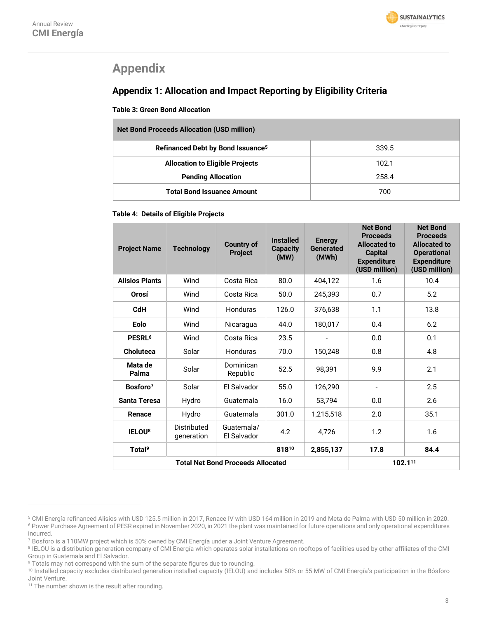

## **Appendix**

## **Appendix 1: Allocation and Impact Reporting by Eligibility Criteria**

**Table 3: Green Bond Allocation**

| <b>Net Bond Proceeds Allocation (USD million)</b> |       |  |  |  |  |
|---------------------------------------------------|-------|--|--|--|--|
| Refinanced Debt by Bond Issuance <sup>5</sup>     | 339.5 |  |  |  |  |
| <b>Allocation to Eligible Projects</b>            | 102.1 |  |  |  |  |
| <b>Pending Allocation</b>                         | 258.4 |  |  |  |  |
| <b>Total Bond Issuance Amount</b>                 | 700   |  |  |  |  |

#### **Table 4: Details of Eligible Projects**

| <b>Project Name</b>                      | <b>Technology</b>         | <b>Country of</b><br><b>Project</b> | <b>Installed</b><br><b>Capacity</b><br>(MW) | <b>Energy</b><br><b>Generated</b><br>(MWh) | <b>Net Bond</b><br><b>Proceeds</b><br><b>Allocated to</b><br><b>Capital</b><br><b>Expenditure</b><br>(USD million) | <b>Net Bond</b><br><b>Proceeds</b><br><b>Allocated to</b><br><b>Operational</b><br><b>Expenditure</b><br>(USD million) |
|------------------------------------------|---------------------------|-------------------------------------|---------------------------------------------|--------------------------------------------|--------------------------------------------------------------------------------------------------------------------|------------------------------------------------------------------------------------------------------------------------|
| <b>Alisios Plants</b>                    | Wind                      | Costa Rica                          | 80.0                                        | 404,122                                    | 1.6                                                                                                                | 10.4                                                                                                                   |
| Orosí                                    | Wind                      | Costa Rica                          | 50.0                                        | 245.393                                    | 0.7                                                                                                                | 5.2                                                                                                                    |
| <b>CdH</b>                               | Wind                      | Honduras                            | 126.0                                       | 376,638                                    | 1.1                                                                                                                | 13.8                                                                                                                   |
| Eolo                                     | Wind                      | Nicaragua                           | 44.0                                        | 180,017                                    | 0.4                                                                                                                | 6.2                                                                                                                    |
| PESRL <sup>6</sup>                       | Wind                      | Costa Rica                          | 23.5                                        |                                            | 0.0                                                                                                                | 0.1                                                                                                                    |
| <b>Choluteca</b>                         | Solar                     | Honduras                            | 70.0                                        | 150,248                                    | 0.8                                                                                                                | 4.8                                                                                                                    |
| Mata de<br>Palma                         | Solar                     | Dominican<br>Republic               | 52.5                                        | 98.391                                     | 9.9                                                                                                                | 2.1                                                                                                                    |
| Bosforo <sup>7</sup>                     | Solar                     | El Salvador                         | 55.0                                        | 126,290                                    | $\overline{\phantom{a}}$                                                                                           | 2.5                                                                                                                    |
| <b>Santa Teresa</b>                      | Hydro                     | Guatemala                           | 16.0                                        | 53,794                                     | 0.0                                                                                                                | 2.6                                                                                                                    |
| Renace                                   | Hydro                     | Guatemala                           | 301.0                                       | 1,215,518                                  | 2.0                                                                                                                | 35.1                                                                                                                   |
| <b>IELOU8</b>                            | Distributed<br>generation | Guatemala/<br>El Salvador           | 4.2                                         | 4,726                                      | 1.2                                                                                                                | 1.6                                                                                                                    |
| Total <sup>9</sup>                       |                           |                                     | 81810                                       | 2,855,137                                  | 17.8                                                                                                               | 84.4                                                                                                                   |
| <b>Total Net Bond Proceeds Allocated</b> |                           |                                     |                                             |                                            | 102.111                                                                                                            |                                                                                                                        |

<sup>5</sup> CMI Energía refinanced Alisios with USD 125.5 million in 2017, Renace IV with USD 164 million in 2019 and Meta de Palma with USD 50 million in 2020. <sup>6</sup> Power Purchase Agreement of PESR expired in November 2020, in 2021 the plant was maintained for future operations and only operational expenditures incurred.

<sup>7</sup> Bosforo is a 110MW project which is 50% owned by CMI Energía under a Joint Venture Agreement.

<sup>8</sup> IELOU is a distribution generation company of CMI Energía which operates solar installations on rooftops of facilities used by other affiliates of the CMI Group in Guatemala and El Salvador.

<sup>&</sup>lt;sup>9</sup> Totals may not correspond with the sum of the separate figures due to rounding.

<sup>&</sup>lt;sup>10</sup> Installed capacity excludes distributed generation installed capacity (IELOU) and includes 50% or 55 MW of CMI Energía's participation in the Bósforo Joint Venture.

<sup>&</sup>lt;sup>11</sup> The number shown is the result after rounding.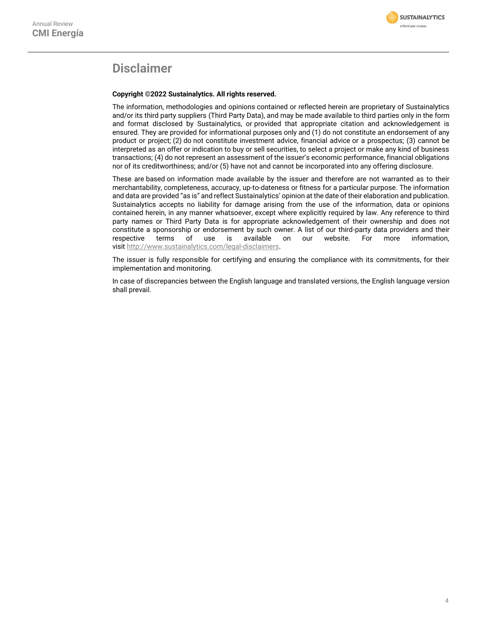

## **Disclaimer**

#### **Copyright ©2022 Sustainalytics. All rights reserved.**

The information, methodologies and opinions contained or reflected herein are proprietary of Sustainalytics and/or its third party suppliers (Third Party Data), and may be made available to third parties only in the form and format disclosed by Sustainalytics, or provided that appropriate citation and acknowledgement is ensured. They are provided for informational purposes only and (1) do not constitute an endorsement of any product or project; (2) do not constitute investment advice, financial advice or a prospectus; (3) cannot be interpreted as an offer or indication to buy or sell securities, to select a project or make any kind of business transactions; (4) do not represent an assessment of the issuer's economic performance, financial obligations nor of its creditworthiness; and/or (5) have not and cannot be incorporated into any offering disclosure.

These are based on information made available by the issuer and therefore are not warranted as to their merchantability, completeness, accuracy, up-to-dateness or fitness for a particular purpose. The information and data are provided "as is" and reflect Sustainalytics' opinion at the date of their elaboration and publication. Sustainalytics accepts no liability for damage arising from the use of the information, data or opinions contained herein, in any manner whatsoever, except where explicitly required by law. Any reference to third party names or Third Party Data is for appropriate acknowledgement of their ownership and does not constitute a sponsorship or endorsement by such owner. A list of our third-party data providers and their respective terms of use is available on our website. For more information, visit [http://www.sustainalytics.com/legal-disclaimers.](http://www.sustainalytics.com/legal-disclaimers)

The issuer is fully responsible for certifying and ensuring the compliance with its commitments, for their implementation and monitoring.

In case of discrepancies between the English language and translated versions, the English language version shall prevail.